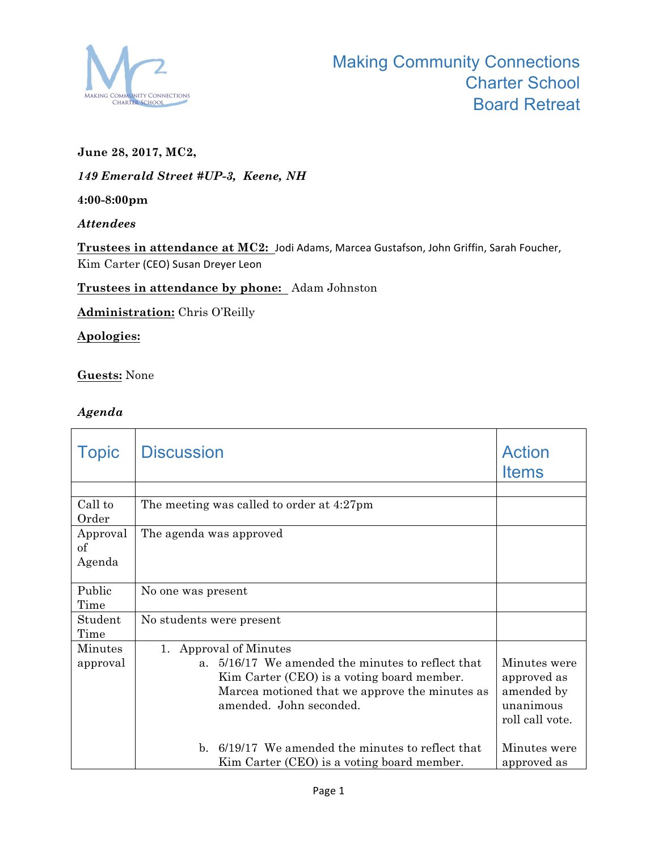

# **June 28, 2017, MC2,**

*149 Emerald Street #UP-3, Keene, NH*

**4:00-8:00pm**

#### *Attendees*

Trustees in attendance at MC2: Jodi Adams, Marcea Gustafson, John Griffin, Sarah Foucher, Kim Carter (CEO) Susan Dreyer Leon

# **Trustees in attendance by phone:** Adam Johnston

**Administration:** Chris O'Reilly

# **Apologies:**

**Guests:** None

# *Agenda*

| <b>Topic</b>             | <b>Discussion</b>                                                                                                                                                                                              | <b>Action</b><br><b>Items</b>                                             |
|--------------------------|----------------------------------------------------------------------------------------------------------------------------------------------------------------------------------------------------------------|---------------------------------------------------------------------------|
|                          |                                                                                                                                                                                                                |                                                                           |
| Call to<br>Order         | The meeting was called to order at 4:27pm                                                                                                                                                                      |                                                                           |
| Approval<br>of<br>Agenda | The agenda was approved                                                                                                                                                                                        |                                                                           |
| Public<br>Time           | No one was present                                                                                                                                                                                             |                                                                           |
| Student<br>Time          | No students were present                                                                                                                                                                                       |                                                                           |
| Minutes<br>approval      | 1. Approval of Minutes<br>5/16/17 We amended the minutes to reflect that<br>$a_{-}$<br>Kim Carter (CEO) is a voting board member.<br>Marcea motioned that we approve the minutes as<br>amended. John seconded. | Minutes were<br>approved as<br>amended by<br>unanimous<br>roll call vote. |
|                          | 6/19/17 We amended the minutes to reflect that<br>$h_{-}$<br>Kim Carter (CEO) is a voting board member.                                                                                                        | Minutes were<br>approved as                                               |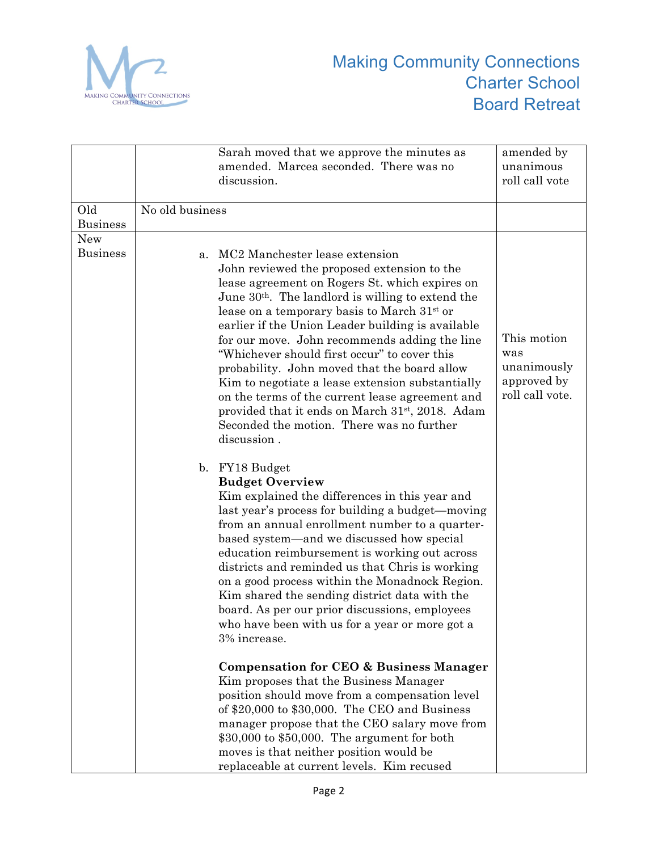

|                               | Sarah moved that we approve the minutes as<br>amended. Marcea seconded. There was no<br>discussion.                                                                                                                                                                                                                                                                                                                                                                                                                                                                                                                                                                                                                                                                                                                                                                                                                                                                                                                                         | amended by<br>unanimous<br>roll call vote                           |
|-------------------------------|---------------------------------------------------------------------------------------------------------------------------------------------------------------------------------------------------------------------------------------------------------------------------------------------------------------------------------------------------------------------------------------------------------------------------------------------------------------------------------------------------------------------------------------------------------------------------------------------------------------------------------------------------------------------------------------------------------------------------------------------------------------------------------------------------------------------------------------------------------------------------------------------------------------------------------------------------------------------------------------------------------------------------------------------|---------------------------------------------------------------------|
| Old<br><b>Business</b>        | No old business                                                                                                                                                                                                                                                                                                                                                                                                                                                                                                                                                                                                                                                                                                                                                                                                                                                                                                                                                                                                                             |                                                                     |
| <b>New</b><br><b>Business</b> | MC2 Manchester lease extension<br>a.<br>John reviewed the proposed extension to the<br>lease agreement on Rogers St. which expires on<br>June $30th$ . The landlord is willing to extend the<br>lease on a temporary basis to March $31st$ or<br>earlier if the Union Leader building is available<br>for our move. John recommends adding the line<br>"Whichever should first occur" to cover this<br>probability. John moved that the board allow<br>Kim to negotiate a lease extension substantially<br>on the terms of the current lease agreement and<br>provided that it ends on March 31 <sup>st</sup> , 2018. Adam<br>Seconded the motion. There was no further<br>discussion.<br>b. FY18 Budget<br><b>Budget Overview</b><br>Kim explained the differences in this year and<br>last year's process for building a budget—moving<br>from an annual enrollment number to a quarter-<br>based system—and we discussed how special<br>education reimbursement is working out across<br>districts and reminded us that Chris is working | This motion<br>was<br>unanimously<br>approved by<br>roll call vote. |
|                               | on a good process within the Monadnock Region.<br>Kim shared the sending district data with the<br>board. As per our prior discussions, employees<br>who have been with us for a year or more got a<br>3% increase.<br><b>Compensation for CEO &amp; Business Manager</b><br>Kim proposes that the Business Manager<br>position should move from a compensation level<br>of \$20,000 to \$30,000. The CEO and Business<br>manager propose that the CEO salary move from<br>\$30,000 to \$50,000. The argument for both<br>moves is that neither position would be<br>replaceable at current levels. Kim recused                                                                                                                                                                                                                                                                                                                                                                                                                             |                                                                     |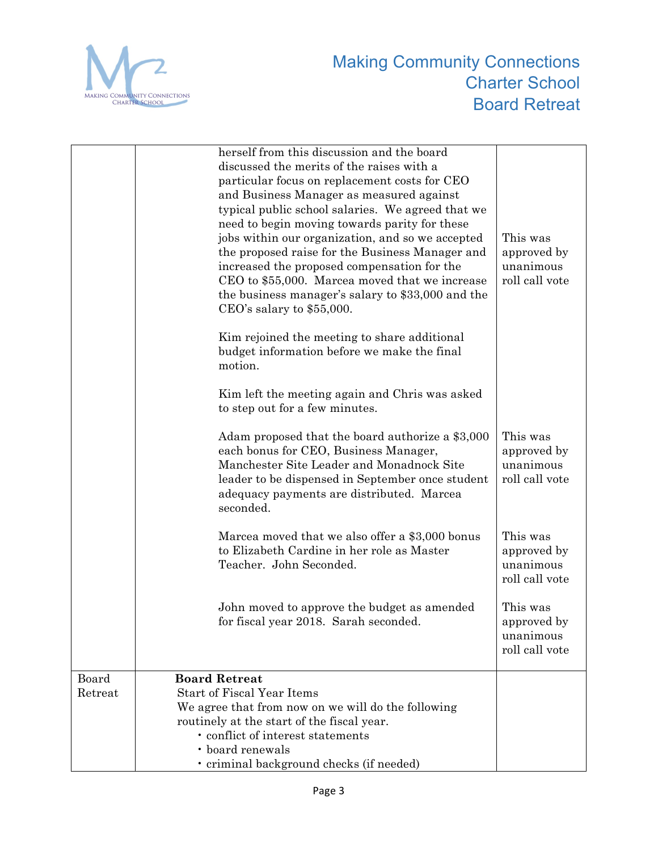

|                  | herself from this discussion and the board<br>discussed the merits of the raises with a<br>particular focus on replacement costs for CEO<br>and Business Manager as measured against<br>typical public school salaries. We agreed that we<br>need to begin moving towards parity for these<br>jobs within our organization, and so we accepted<br>the proposed raise for the Business Manager and<br>increased the proposed compensation for the<br>CEO to \$55,000. Marcea moved that we increase<br>the business manager's salary to \$33,000 and the<br>$CEO's$ salary to \$55,000. | This was<br>approved by<br>unanimous<br>roll call vote |
|------------------|----------------------------------------------------------------------------------------------------------------------------------------------------------------------------------------------------------------------------------------------------------------------------------------------------------------------------------------------------------------------------------------------------------------------------------------------------------------------------------------------------------------------------------------------------------------------------------------|--------------------------------------------------------|
|                  | Kim rejoined the meeting to share additional<br>budget information before we make the final<br>motion.                                                                                                                                                                                                                                                                                                                                                                                                                                                                                 |                                                        |
|                  | Kim left the meeting again and Chris was asked<br>to step out for a few minutes.                                                                                                                                                                                                                                                                                                                                                                                                                                                                                                       |                                                        |
|                  | Adam proposed that the board authorize a \$3,000<br>each bonus for CEO, Business Manager,<br>Manchester Site Leader and Monadnock Site<br>leader to be dispensed in September once student<br>adequacy payments are distributed. Marcea<br>seconded.                                                                                                                                                                                                                                                                                                                                   | This was<br>approved by<br>unanimous<br>roll call vote |
|                  | Marcea moved that we also offer a \$3,000 bonus<br>to Elizabeth Cardine in her role as Master<br>Teacher. John Seconded.                                                                                                                                                                                                                                                                                                                                                                                                                                                               | This was<br>approved by<br>unanimous<br>roll call vote |
|                  | John moved to approve the budget as amended<br>for fiscal year 2018. Sarah seconded.                                                                                                                                                                                                                                                                                                                                                                                                                                                                                                   | This was<br>approved by<br>unanimous<br>roll call vote |
| Board<br>Retreat | <b>Board Retreat</b><br><b>Start of Fiscal Year Items</b><br>We agree that from now on we will do the following<br>routinely at the start of the fiscal year.<br>• conflict of interest statements<br>• board renewals<br>· criminal background checks (if needed)                                                                                                                                                                                                                                                                                                                     |                                                        |